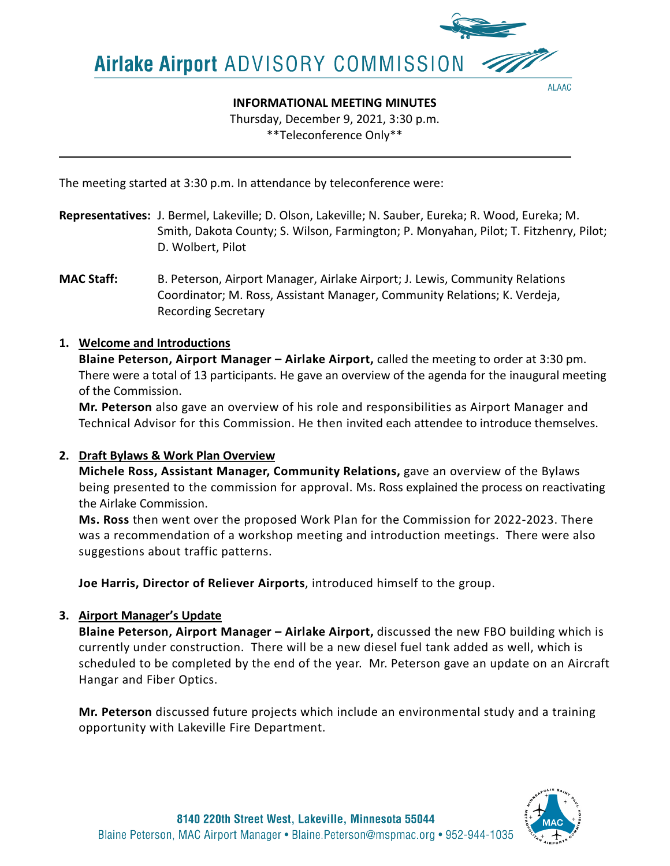Airlake Airport ADVISORY COMMISSION

**ALAAC** 

**INFORMATIONAL MEETING MINUTES**

Thursday, December 9, 2021, 3:30 p.m.

\*\*Teleconference Only\*\*

The meeting started at 3:30 p.m. In attendance by teleconference were:

- **Representatives:** J. Bermel, Lakeville; D. Olson, Lakeville; N. Sauber, Eureka; R. Wood, Eureka; M. Smith, Dakota County; S. Wilson, Farmington; P. Monyahan, Pilot; T. Fitzhenry, Pilot; D. Wolbert, Pilot
- **MAC Staff:** B. Peterson, Airport Manager, Airlake Airport; J. Lewis, Community Relations Coordinator; M. Ross, Assistant Manager, Community Relations; K. Verdeja, Recording Secretary

# **1. Welcome and Introductions**

**Blaine Peterson, Airport Manager – Airlake Airport,** called the meeting to order at 3:30 pm. There were a total of 13 participants. He gave an overview of the agenda for the inaugural meeting of the Commission.

**Mr. Peterson** also gave an overview of his role and responsibilities as Airport Manager and Technical Advisor for this Commission. He then invited each attendee to introduce themselves.

# **2. Draft Bylaws & Work Plan Overview**

**Michele Ross, Assistant Manager, Community Relations,** gave an overview of the Bylaws being presented to the commission for approval. Ms. Ross explained the process on reactivating the Airlake Commission.

**Ms. Ross** then went over the proposed Work Plan for the Commission for 2022-2023. There was a recommendation of a workshop meeting and introduction meetings. There were also suggestions about traffic patterns.

**Joe Harris, Director of Reliever Airports**, introduced himself to the group.

# **3. Airport Manager's Update**

**Blaine Peterson, Airport Manager – Airlake Airport,** discussed the new FBO building which is currently under construction. There will be a new diesel fuel tank added as well, which is scheduled to be completed by the end of the year. Mr. Peterson gave an update on an Aircraft Hangar and Fiber Optics.

**Mr. Peterson** discussed future projects which include an environmental study and a training opportunity with Lakeville Fire Department.